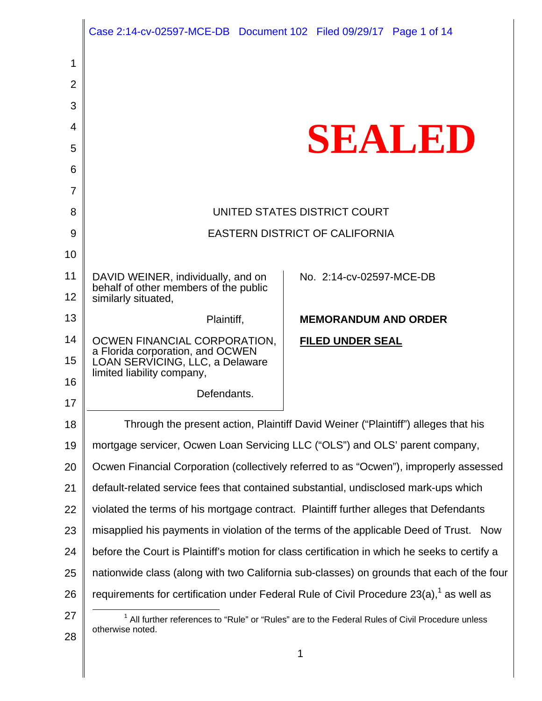|                | Case 2:14-cv-02597-MCE-DB Document 102 Filed 09/29/17 Page 1 of 14                                                              |                                                                                                        |
|----------------|---------------------------------------------------------------------------------------------------------------------------------|--------------------------------------------------------------------------------------------------------|
| 1              |                                                                                                                                 |                                                                                                        |
| $\overline{2}$ |                                                                                                                                 |                                                                                                        |
| 3              |                                                                                                                                 |                                                                                                        |
| 4              |                                                                                                                                 |                                                                                                        |
| 5              |                                                                                                                                 | SEAUDD                                                                                                 |
| 6              |                                                                                                                                 |                                                                                                        |
| $\overline{7}$ |                                                                                                                                 |                                                                                                        |
| 8              |                                                                                                                                 | UNITED STATES DISTRICT COURT                                                                           |
| 9              |                                                                                                                                 | <b>EASTERN DISTRICT OF CALIFORNIA</b>                                                                  |
| 10             |                                                                                                                                 |                                                                                                        |
| 11             | DAVID WEINER, individually, and on                                                                                              | No. 2:14-cv-02597-MCE-DB                                                                               |
| 12             | behalf of other members of the public<br>similarly situated,                                                                    |                                                                                                        |
| 13             | Plaintiff,                                                                                                                      | <b>MEMORANDUM AND ORDER</b>                                                                            |
| 14             | OCWEN FINANCIAL CORPORATION,                                                                                                    | <b>FILED UNDER SEAL</b>                                                                                |
| 15             | a Florida corporation, and OCWEN<br>LOAN SERVICING, LLC, a Delaware<br>limited liability company,                               |                                                                                                        |
| 16             | Defendants.                                                                                                                     |                                                                                                        |
| 17             |                                                                                                                                 |                                                                                                        |
| 18             |                                                                                                                                 | Through the present action, Plaintiff David Weiner ("Plaintiff") alleges that his                      |
| 19             |                                                                                                                                 | mortgage servicer, Ocwen Loan Servicing LLC ("OLS") and OLS' parent company,                           |
| 20             |                                                                                                                                 | Ocwen Financial Corporation (collectively referred to as "Ocwen"), improperly assessed                 |
| 21             |                                                                                                                                 | default-related service fees that contained substantial, undisclosed mark-ups which                    |
| 22             |                                                                                                                                 | violated the terms of his mortgage contract. Plaintiff further alleges that Defendants                 |
| 23             |                                                                                                                                 | misapplied his payments in violation of the terms of the applicable Deed of Trust. Now                 |
| 24             |                                                                                                                                 | before the Court is Plaintiff's motion for class certification in which he seeks to certify a          |
| 25             |                                                                                                                                 | nationwide class (along with two California sub-classes) on grounds that each of the four              |
| 26             |                                                                                                                                 | requirements for certification under Federal Rule of Civil Procedure $23(a)$ , <sup>1</sup> as well as |
| 27             | <sup>1</sup> All further references to "Rule" or "Rules" are to the Federal Rules of Civil Procedure unless<br>otherwise noted. |                                                                                                        |
| 28             |                                                                                                                                 |                                                                                                        |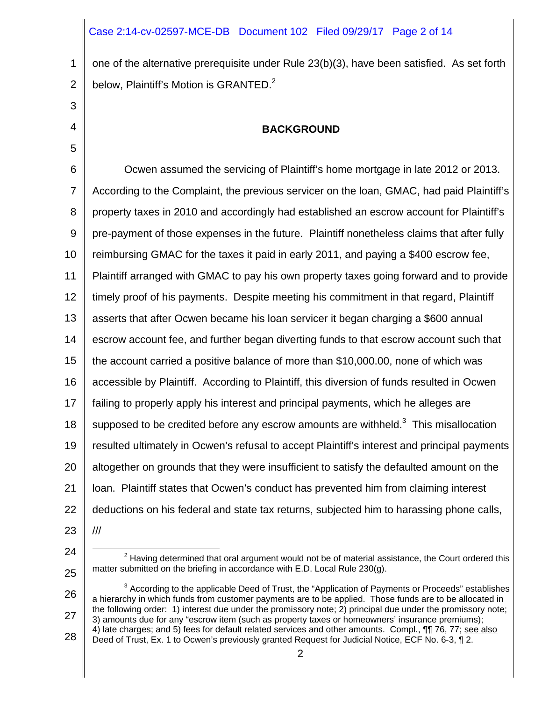#### Case 2:14-cv-02597-MCE-DB Document 102 Filed 09/29/17 Page 2 of 14

1 2 one of the alternative prerequisite under Rule 23(b)(3), have been satisfied. As set forth below, Plaintiff's Motion is GRANTED. $2$ 

# 3

4

5

# **BACKGROUND**

6 7 8 9 10 11 12 13 14 15 16 17 18 19 20 21 22 23 Ocwen assumed the servicing of Plaintiff's home mortgage in late 2012 or 2013. According to the Complaint, the previous servicer on the loan, GMAC, had paid Plaintiff's property taxes in 2010 and accordingly had established an escrow account for Plaintiff's pre-payment of those expenses in the future. Plaintiff nonetheless claims that after fully reimbursing GMAC for the taxes it paid in early 2011, and paying a \$400 escrow fee, Plaintiff arranged with GMAC to pay his own property taxes going forward and to provide timely proof of his payments. Despite meeting his commitment in that regard, Plaintiff asserts that after Ocwen became his loan servicer it began charging a \$600 annual escrow account fee, and further began diverting funds to that escrow account such that the account carried a positive balance of more than \$10,000.00, none of which was accessible by Plaintiff. According to Plaintiff, this diversion of funds resulted in Ocwen failing to properly apply his interest and principal payments, which he alleges are supposed to be credited before any escrow amounts are withheld. $3$  This misallocation resulted ultimately in Ocwen's refusal to accept Plaintiff's interest and principal payments altogether on grounds that they were insufficient to satisfy the defaulted amount on the loan. Plaintiff states that Ocwen's conduct has prevented him from claiming interest deductions on his federal and state tax returns, subjected him to harassing phone calls, ///

- 24
- 25

26 27 28  $3$  According to the applicable Deed of Trust, the "Application of Payments or Proceeds" establishes a hierarchy in which funds from customer payments are to be applied. Those funds are to be allocated in the following order: 1) interest due under the promissory note; 2) principal due under the promissory note; 3) amounts due for any "escrow item (such as property taxes or homeowners' insurance premiums); 4) late charges; and 5) fees for default related services and other amounts. Compl., ¶¶ 76, 77; see also Deed of Trust, Ex. 1 to Ocwen's previously granted Request for Judicial Notice, ECF No. 6-3, ¶ 2.

 $\overline{\phantom{a}}$  $2$  Having determined that oral argument would not be of material assistance, the Court ordered this matter submitted on the briefing in accordance with E.D. Local Rule 230(g).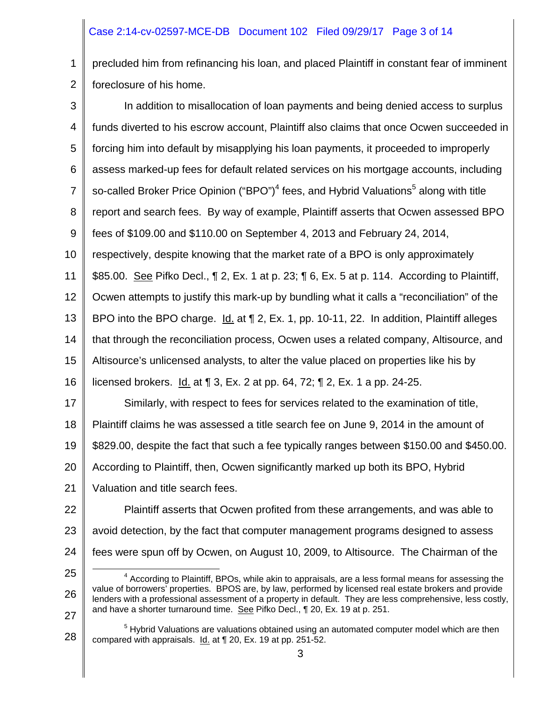# Case 2:14-cv-02597-MCE-DB Document 102 Filed 09/29/17 Page 3 of 14

1 2 precluded him from refinancing his loan, and placed Plaintiff in constant fear of imminent foreclosure of his home.

3 4 5 6 7 8 9 10 11 12 13 14 15 16 17 18 19 20 21 22 23 24 25 26 In addition to misallocation of loan payments and being denied access to surplus funds diverted to his escrow account, Plaintiff also claims that once Ocwen succeeded in forcing him into default by misapplying his loan payments, it proceeded to improperly assess marked-up fees for default related services on his mortgage accounts, including so-called Broker Price Opinion ("BPO")<sup>4</sup> fees, and Hybrid Valuations<sup>5</sup> along with title report and search fees. By way of example, Plaintiff asserts that Ocwen assessed BPO fees of \$109.00 and \$110.00 on September 4, 2013 and February 24, 2014, respectively, despite knowing that the market rate of a BPO is only approximately \$85.00. <u>See</u> Pifko Decl., ¶ 2, Ex. 1 at p. 23; ¶ 6, Ex. 5 at p. 114. According to Plaintiff, Ocwen attempts to justify this mark-up by bundling what it calls a "reconciliation" of the BPO into the BPO charge. Id. at  $\P$  2, Ex. 1, pp. 10-11, 22. In addition, Plaintiff alleges that through the reconciliation process, Ocwen uses a related company, Altisource, and Altisource's unlicensed analysts, to alter the value placed on properties like his by licensed brokers.  $\underline{Id}$  at  $\P$  3, Ex. 2 at pp. 64, 72;  $\P$  2, Ex. 1 a pp. 24-25. Similarly, with respect to fees for services related to the examination of title, Plaintiff claims he was assessed a title search fee on June 9, 2014 in the amount of \$829.00, despite the fact that such a fee typically ranges between \$150.00 and \$450.00. According to Plaintiff, then, Ocwen significantly marked up both its BPO, Hybrid Valuation and title search fees. Plaintiff asserts that Ocwen profited from these arrangements, and was able to avoid detection, by the fact that computer management programs designed to assess fees were spun off by Ocwen, on August 10, 2009, to Altisource. The Chairman of the 4 <sup>4</sup> According to Plaintiff, BPOs, while akin to appraisals, are a less formal means for assessing the value of borrowers' properties. BPOS are, by law, performed by licensed real estate brokers and provide

lenders with a professional assessment of a property in default. They are less comprehensive, less costly, and have a shorter turnaround time. See Pifko Decl., ¶ 20, Ex. 19 at p. 251.

<sup>28</sup>  <sup>5</sup> Hybrid Valuations are valuations obtained using an automated computer model which are then compared with appraisals. Id. at ¶ 20, Ex. 19 at pp. 251-52.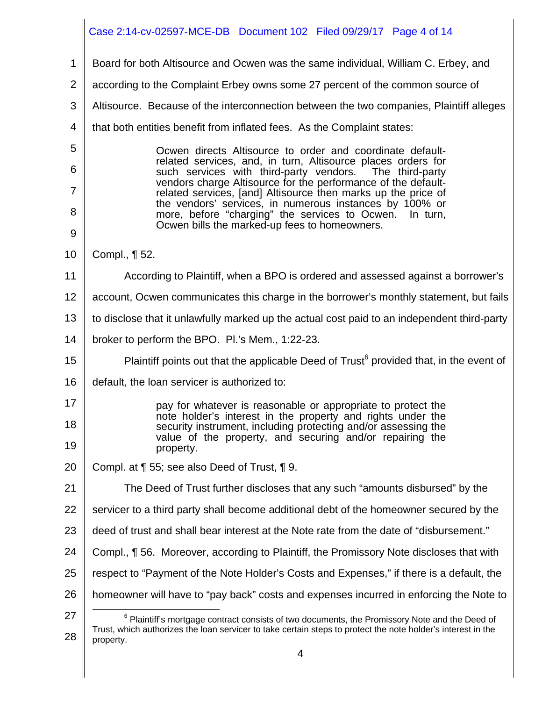|                | Case 2:14-cv-02597-MCE-DB  Document 102  Filed 09/29/17  Page 4 of 14                                                          |
|----------------|--------------------------------------------------------------------------------------------------------------------------------|
| 1              | Board for both Altisource and Ocwen was the same individual, William C. Erbey, and                                             |
| $\overline{2}$ | according to the Complaint Erbey owns some 27 percent of the common source of                                                  |
| 3              | Altisource. Because of the interconnection between the two companies, Plaintiff alleges                                        |
| 4              | that both entities benefit from inflated fees. As the Complaint states:                                                        |
| 5              | Ocwen directs Altisource to order and coordinate default-                                                                      |
| 6              | related services, and, in turn, Altisource places orders for<br>such services with third-party vendors. The third-party        |
| $\overline{7}$ | vendors charge Altisource for the performance of the default-<br>related services, [and] Altisource then marks up the price of |
| 8              | the vendors' services, in numerous instances by 100% or<br>more, before "charging" the services to Ocwen. In turn,             |
| 9              | Ocwen bills the marked-up fees to homeowners.                                                                                  |
| 10             | Compl., ¶ 52.                                                                                                                  |
| 11             | According to Plaintiff, when a BPO is ordered and assessed against a borrower's                                                |
| 12             | account, Ocwen communicates this charge in the borrower's monthly statement, but fails                                         |
| 13             | to disclose that it unlawfully marked up the actual cost paid to an independent third-party                                    |
| 14             | broker to perform the BPO. Pl.'s Mem., 1:22-23.                                                                                |
| 15             | Plaintiff points out that the applicable Deed of Trust <sup>6</sup> provided that, in the event of                             |
| 16             | default, the loan servicer is authorized to:                                                                                   |
| 17             | pay for whatever is reasonable or appropriate to protect the                                                                   |
| 18             | note holder's interest in the property and rights under the<br>security instrument, including protecting and/or assessing the  |
| 19             | value of the property, and securing and/or repairing the<br>property.                                                          |
| 20             | Compl. at ¶ 55; see also Deed of Trust, ¶ 9.                                                                                   |
| 21             | The Deed of Trust further discloses that any such "amounts disbursed" by the                                                   |
| 22             | servicer to a third party shall become additional debt of the homeowner secured by the                                         |
| 23             | deed of trust and shall bear interest at the Note rate from the date of "disbursement."                                        |
| 24             | Compl., ¶ 56. Moreover, according to Plaintiff, the Promissory Note discloses that with                                        |
| 25             | respect to "Payment of the Note Holder's Costs and Expenses," if there is a default, the                                       |
| 26             | homeowner will have to "pay back" costs and expenses incurred in enforcing the Note to                                         |
| 27             | $6$ Plaintiff's mortgage contract consists of two documents, the Promissory Note and the Deed of                               |
| 28             | Trust, which authorizes the loan servicer to take certain steps to protect the note holder's interest in the<br>property.      |
|                | 4                                                                                                                              |

II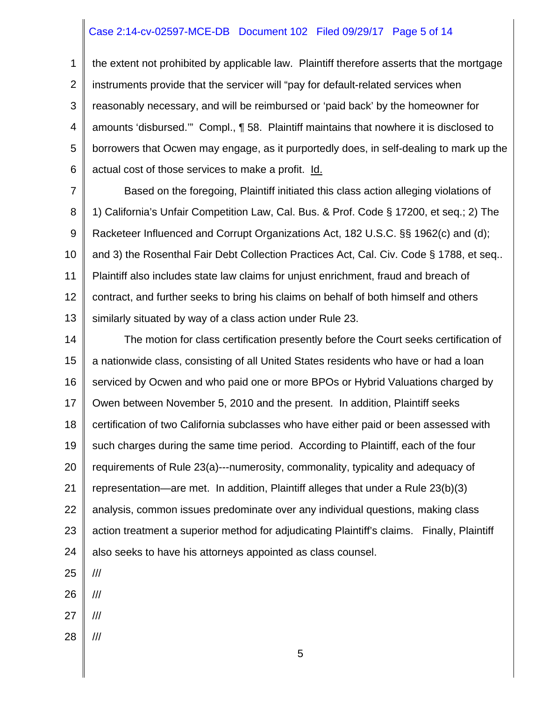#### Case 2:14-cv-02597-MCE-DB Document 102 Filed 09/29/17 Page 5 of 14

1 2 3 4 5 6 the extent not prohibited by applicable law. Plaintiff therefore asserts that the mortgage instruments provide that the servicer will "pay for default-related services when reasonably necessary, and will be reimbursed or 'paid back' by the homeowner for amounts 'disbursed.'" Compl., ¶ 58. Plaintiff maintains that nowhere it is disclosed to borrowers that Ocwen may engage, as it purportedly does, in self-dealing to mark up the actual cost of those services to make a profit. Id.

7 8 9 10 11 12 13 Based on the foregoing, Plaintiff initiated this class action alleging violations of 1) California's Unfair Competition Law, Cal. Bus. & Prof. Code § 17200, et seq.; 2) The Racketeer Influenced and Corrupt Organizations Act, 182 U.S.C. §§ 1962(c) and (d); and 3) the Rosenthal Fair Debt Collection Practices Act, Cal. Civ. Code § 1788, et seq.. Plaintiff also includes state law claims for unjust enrichment, fraud and breach of contract, and further seeks to bring his claims on behalf of both himself and others similarly situated by way of a class action under Rule 23.

14 15 16 17 18 19 20 21 22 23 24 The motion for class certification presently before the Court seeks certification of a nationwide class, consisting of all United States residents who have or had a loan serviced by Ocwen and who paid one or more BPOs or Hybrid Valuations charged by Owen between November 5, 2010 and the present. In addition, Plaintiff seeks certification of two California subclasses who have either paid or been assessed with such charges during the same time period. According to Plaintiff, each of the four requirements of Rule 23(a)---numerosity, commonality, typicality and adequacy of representation—are met. In addition, Plaintiff alleges that under a Rule 23(b)(3) analysis, common issues predominate over any individual questions, making class action treatment a superior method for adjudicating Plaintiff's claims. Finally, Plaintiff also seeks to have his attorneys appointed as class counsel.

25 ///

26 ///

- 27 ///
- 28 ///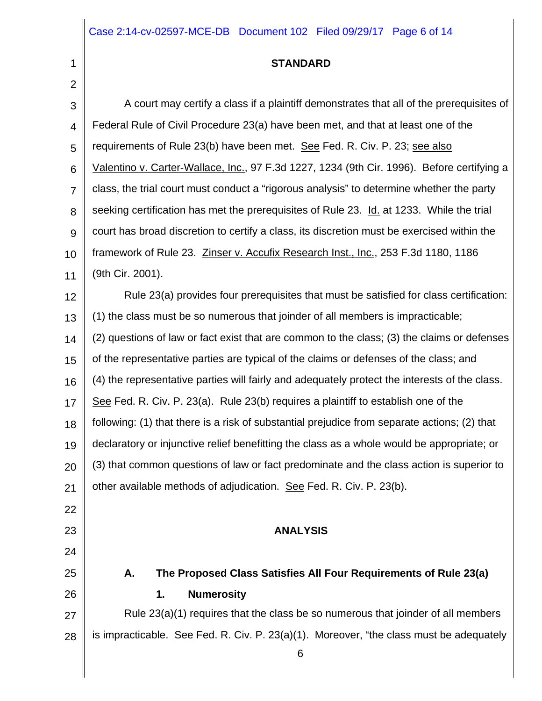1  $\sim$ 

# **STANDARD**

| $\angle$        |                                                                                               |
|-----------------|-----------------------------------------------------------------------------------------------|
| $\mathbf{3}$    | A court may certify a class if a plaintiff demonstrates that all of the prerequisites of      |
| $\overline{4}$  | Federal Rule of Civil Procedure 23(a) have been met, and that at least one of the             |
| 5               | requirements of Rule 23(b) have been met. See Fed. R. Civ. P. 23; see also                    |
| $6\phantom{1}6$ | Valentino v. Carter-Wallace, Inc., 97 F.3d 1227, 1234 (9th Cir. 1996). Before certifying a    |
| $\overline{7}$  | class, the trial court must conduct a "rigorous analysis" to determine whether the party      |
| 8               | seeking certification has met the prerequisites of Rule 23. Id. at 1233. While the trial      |
| 9               | court has broad discretion to certify a class, its discretion must be exercised within the    |
| 10              | framework of Rule 23. Zinser v. Accufix Research Inst., Inc., 253 F.3d 1180, 1186             |
| 11              | (9th Cir. 2001).                                                                              |
| 12              | Rule 23(a) provides four prerequisites that must be satisfied for class certification:        |
| 13              | (1) the class must be so numerous that joinder of all members is impracticable;               |
| 14              | (2) questions of law or fact exist that are common to the class; (3) the claims or defenses   |
| 15              | of the representative parties are typical of the claims or defenses of the class; and         |
| 16              | (4) the representative parties will fairly and adequately protect the interests of the class. |
| 17              | See Fed. R. Civ. P. 23(a). Rule 23(b) requires a plaintiff to establish one of the            |
| 18              | following: (1) that there is a risk of substantial prejudice from separate actions; (2) that  |
| 19              | declaratory or injunctive relief benefitting the class as a whole would be appropriate; or    |
| 20              | (3) that common questions of law or fact predominate and the class action is superior to      |
| 21              | other available methods of adjudication. See Fed. R. Civ. P. 23(b).                           |
| 22              |                                                                                               |
| 23              | <b>ANALYSIS</b>                                                                               |
| 24              |                                                                                               |
| 25              | The Proposed Class Satisfies All Four Requirements of Rule 23(a)<br>А.                        |
| 26              | <b>Numerosity</b><br>1.                                                                       |
| 27              | Rule 23(a)(1) requires that the class be so numerous that joinder of all members              |
| 28              | is impracticable. See Fed. R. Civ. P. $23(a)(1)$ . Moreover, "the class must be adequately    |
|                 | 6                                                                                             |
|                 |                                                                                               |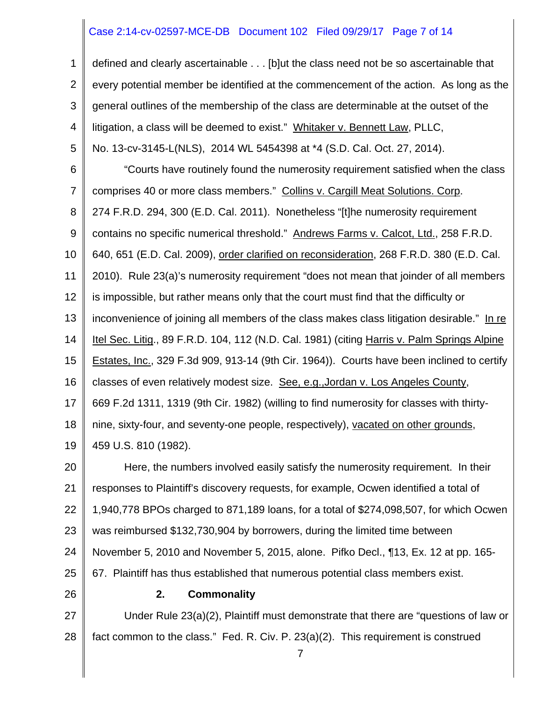#### Case 2:14-cv-02597-MCE-DB Document 102 Filed 09/29/17 Page 7 of 14

1 2 3 4 5 6 7 8 9 10 11 12 13 14 15 16 17 18 19 20 21 defined and clearly ascertainable . . . [b]ut the class need not be so ascertainable that every potential member be identified at the commencement of the action. As long as the general outlines of the membership of the class are determinable at the outset of the litigation, a class will be deemed to exist." Whitaker v. Bennett Law, PLLC, No. 13-cv-3145-L(NLS), 2014 WL 5454398 at \*4 (S.D. Cal. Oct. 27, 2014). "Courts have routinely found the numerosity requirement satisfied when the class comprises 40 or more class members." Collins v. Cargill Meat Solutions. Corp. 274 F.R.D. 294, 300 (E.D. Cal. 2011). Nonetheless "[t]he numerosity requirement contains no specific numerical threshold." Andrews Farms v. Calcot, Ltd., 258 F.R.D. 640, 651 (E.D. Cal. 2009), order clarified on reconsideration, 268 F.R.D. 380 (E.D. Cal. 2010). Rule 23(a)'s numerosity requirement "does not mean that joinder of all members is impossible, but rather means only that the court must find that the difficulty or inconvenience of joining all members of the class makes class litigation desirable." In re Itel Sec. Litig., 89 F.R.D. 104, 112 (N.D. Cal. 1981) (citing Harris v. Palm Springs Alpine Estates, Inc., 329 F.3d 909, 913-14 (9th Cir. 1964)). Courts have been inclined to certify classes of even relatively modest size. See, e.g.,Jordan v. Los Angeles County, 669 F.2d 1311, 1319 (9th Cir. 1982) (willing to find numerosity for classes with thirtynine, sixty-four, and seventy-one people, respectively), vacated on other grounds, 459 U.S. 810 (1982). Here, the numbers involved easily satisfy the numerosity requirement. In their responses to Plaintiff's discovery requests, for example, Ocwen identified a total of

22 23 1,940,778 BPOs charged to 871,189 loans, for a total of \$274,098,507, for which Ocwen was reimbursed \$132,730,904 by borrowers, during the limited time between

- 24 November 5, 2010 and November 5, 2015, alone. Pifko Decl., ¶13, Ex. 12 at pp. 165-
- 25 67. Plaintiff has thus established that numerous potential class members exist.
- 26

#### **2. Commonality**

27 28 Under Rule 23(a)(2), Plaintiff must demonstrate that there are "questions of law or fact common to the class." Fed. R. Civ. P. 23(a)(2). This requirement is construed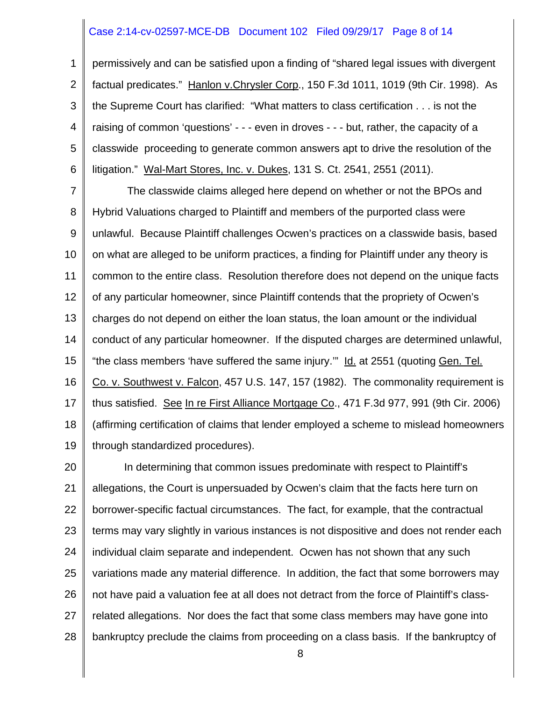#### Case 2:14-cv-02597-MCE-DB Document 102 Filed 09/29/17 Page 8 of 14

1 2 3 4 5 6 permissively and can be satisfied upon a finding of "shared legal issues with divergent factual predicates." Hanlon v.Chrysler Corp., 150 F.3d 1011, 1019 (9th Cir. 1998). As the Supreme Court has clarified: "What matters to class certification . . . is not the raising of common 'questions' - - - even in droves - - - but, rather, the capacity of a classwide proceeding to generate common answers apt to drive the resolution of the litigation." Wal-Mart Stores, Inc. v. Dukes, 131 S. Ct. 2541, 2551 (2011).

7 8 9 10 11 12 13 14 15 16 17 18 19 The classwide claims alleged here depend on whether or not the BPOs and Hybrid Valuations charged to Plaintiff and members of the purported class were unlawful. Because Plaintiff challenges Ocwen's practices on a classwide basis, based on what are alleged to be uniform practices, a finding for Plaintiff under any theory is common to the entire class. Resolution therefore does not depend on the unique facts of any particular homeowner, since Plaintiff contends that the propriety of Ocwen's charges do not depend on either the loan status, the loan amount or the individual conduct of any particular homeowner. If the disputed charges are determined unlawful, "the class members 'have suffered the same injury.'" Id. at 2551 (quoting Gen. Tel. Co. v. Southwest v. Falcon, 457 U.S. 147, 157 (1982). The commonality requirement is thus satisfied. See In re First Alliance Mortgage Co., 471 F.3d 977, 991 (9th Cir. 2006) (affirming certification of claims that lender employed a scheme to mislead homeowners through standardized procedures).

20 21 22 23 24 25 26 27 28 In determining that common issues predominate with respect to Plaintiff's allegations, the Court is unpersuaded by Ocwen's claim that the facts here turn on borrower-specific factual circumstances. The fact, for example, that the contractual terms may vary slightly in various instances is not dispositive and does not render each individual claim separate and independent. Ocwen has not shown that any such variations made any material difference. In addition, the fact that some borrowers may not have paid a valuation fee at all does not detract from the force of Plaintiff's classrelated allegations. Nor does the fact that some class members may have gone into bankruptcy preclude the claims from proceeding on a class basis. If the bankruptcy of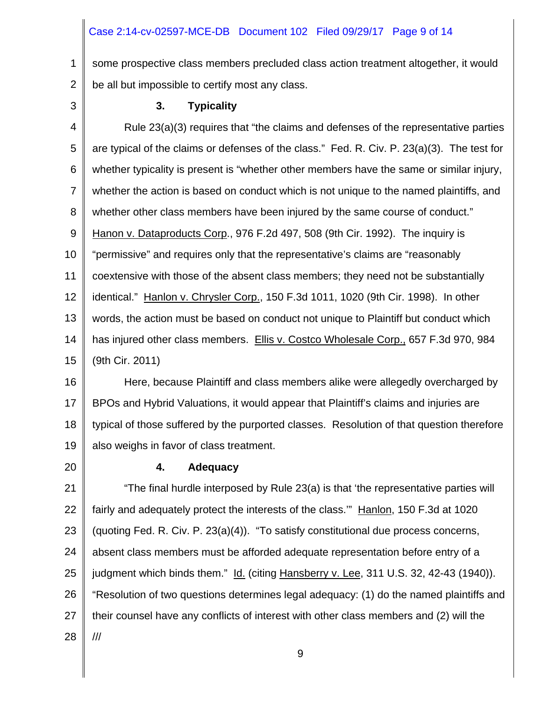#### Case 2:14-cv-02597-MCE-DB Document 102 Filed 09/29/17 Page 9 of 14

1 2 some prospective class members precluded class action treatment altogether, it would be all but impossible to certify most any class.

3

#### **3. Typicality**

4 5 6 7 8 9 10 11 12 13 14 15 Rule 23(a)(3) requires that "the claims and defenses of the representative parties are typical of the claims or defenses of the class." Fed. R. Civ. P. 23(a)(3). The test for whether typicality is present is "whether other members have the same or similar injury, whether the action is based on conduct which is not unique to the named plaintiffs, and whether other class members have been injured by the same course of conduct." Hanon v. Dataproducts Corp., 976 F.2d 497, 508 (9th Cir. 1992). The inquiry is "permissive" and requires only that the representative's claims are "reasonably coextensive with those of the absent class members; they need not be substantially identical." Hanlon v. Chrysler Corp., 150 F.3d 1011, 1020 (9th Cir. 1998). In other words, the action must be based on conduct not unique to Plaintiff but conduct which has injured other class members. Ellis v. Costco Wholesale Corp., 657 F.3d 970, 984 (9th Cir. 2011)

16 17 18 19 Here, because Plaintiff and class members alike were allegedly overcharged by BPOs and Hybrid Valuations, it would appear that Plaintiff's claims and injuries are typical of those suffered by the purported classes. Resolution of that question therefore also weighs in favor of class treatment.

20

#### **4. Adequacy**

21 22 23 24 25 26 27 28 "The final hurdle interposed by Rule 23(a) is that 'the representative parties will fairly and adequately protect the interests of the class." Hanlon, 150 F.3d at 1020 (quoting Fed. R. Civ. P. 23(a)(4)). "To satisfy constitutional due process concerns, absent class members must be afforded adequate representation before entry of a judgment which binds them." Id. (citing Hansberry v. Lee, 311 U.S. 32, 42-43 (1940)). "Resolution of two questions determines legal adequacy: (1) do the named plaintiffs and their counsel have any conflicts of interest with other class members and (2) will the ///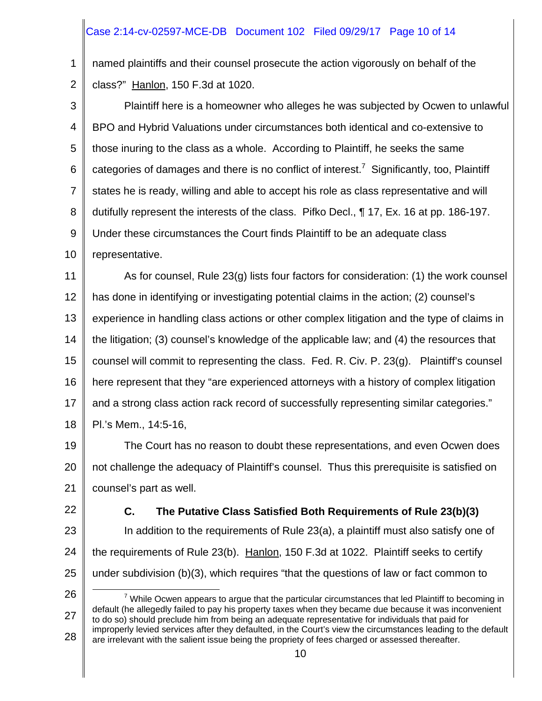# Case 2:14-cv-02597-MCE-DB Document 102 Filed 09/29/17 Page 10 of 14

1 2 named plaintiffs and their counsel prosecute the action vigorously on behalf of the class?" Hanlon, 150 F.3d at 1020.

3 4 5 6 7 8 9 10 Plaintiff here is a homeowner who alleges he was subjected by Ocwen to unlawful BPO and Hybrid Valuations under circumstances both identical and co-extensive to those inuring to the class as a whole. According to Plaintiff, he seeks the same categories of damages and there is no conflict of interest.<sup>7</sup> Significantly, too, Plaintiff states he is ready, willing and able to accept his role as class representative and will dutifully represent the interests of the class. Pifko Decl., ¶ 17, Ex. 16 at pp. 186-197. Under these circumstances the Court finds Plaintiff to be an adequate class representative.

11 12 13 14 15 16 17 18 As for counsel, Rule 23(g) lists four factors for consideration: (1) the work counsel has done in identifying or investigating potential claims in the action; (2) counsel's experience in handling class actions or other complex litigation and the type of claims in the litigation; (3) counsel's knowledge of the applicable law; and (4) the resources that counsel will commit to representing the class. Fed. R. Civ. P. 23(g). Plaintiff's counsel here represent that they "are experienced attorneys with a history of complex litigation and a strong class action rack record of successfully representing similar categories." Pl.'s Mem., 14:5-16,

19 20 21 The Court has no reason to doubt these representations, and even Ocwen does not challenge the adequacy of Plaintiff's counsel. Thus this prerequisite is satisfied on counsel's part as well.

22

# **C. The Putative Class Satisfied Both Requirements of Rule 23(b)(3)**

23 24 25 In addition to the requirements of Rule 23(a), a plaintiff must also satisfy one of the requirements of Rule 23(b). Hanlon, 150 F.3d at 1022. Plaintiff seeks to certify under subdivision (b)(3), which requires "that the questions of law or fact common to

26

27 28 7  $7$  While Ocwen appears to argue that the particular circumstances that led Plaintiff to becoming in default (he allegedly failed to pay his property taxes when they became due because it was inconvenient to do so) should preclude him from being an adequate representative for individuals that paid for improperly levied services after they defaulted, in the Court's view the circumstances leading to the default are irrelevant with the salient issue being the propriety of fees charged or assessed thereafter.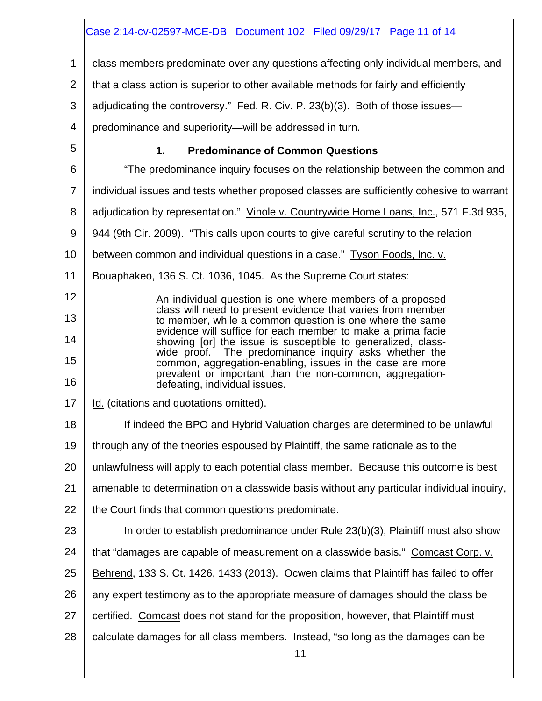|                | Case 2:14-cv-02597-MCE-DB  Document 102  Filed 09/29/17  Page 11  of 14                                                     |
|----------------|-----------------------------------------------------------------------------------------------------------------------------|
| 1              | class members predominate over any questions affecting only individual members, and                                         |
| 2              | that a class action is superior to other available methods for fairly and efficiently                                       |
| 3              | adjudicating the controversy." Fed. R. Civ. P. 23(b)(3). Both of those issues-                                              |
| 4              | predominance and superiority—will be addressed in turn.                                                                     |
| 5              | <b>Predominance of Common Questions</b><br>1.                                                                               |
| 6              | "The predominance inquiry focuses on the relationship between the common and                                                |
| $\overline{7}$ | individual issues and tests whether proposed classes are sufficiently cohesive to warrant                                   |
| 8              | adjudication by representation." Vinole v. Countrywide Home Loans, Inc., 571 F.3d 935,                                      |
| 9              | 944 (9th Cir. 2009). "This calls upon courts to give careful scrutiny to the relation                                       |
| 10             | between common and individual questions in a case." Tyson Foods, Inc. v.                                                    |
| 11             | Bouaphakeo, 136 S. Ct. 1036, 1045. As the Supreme Court states:                                                             |
| 12             | An individual question is one where members of a proposed                                                                   |
| 13             | class will need to present evidence that varies from member<br>to member, while a common question is one where the same     |
| 14             | evidence will suffice for each member to make a prima facie<br>showing [or] the issue is susceptible to generalized, class- |
| 15             | wide proof. The predominance inquiry asks whether the<br>common, aggregation-enabling, issues in the case are more          |
| 16             | prevalent or important than the non-common, aggregation-<br>defeating, individual issues.                                   |
| 17             | Id. (citations and quotations omitted).                                                                                     |
| 18             | If indeed the BPO and Hybrid Valuation charges are determined to be unlawful                                                |
| 19             | through any of the theories espoused by Plaintiff, the same rationale as to the                                             |
| 20             | unlawfulness will apply to each potential class member. Because this outcome is best                                        |
| 21             | amenable to determination on a classwide basis without any particular individual inquiry,                                   |
| 22             | the Court finds that common questions predominate.                                                                          |
| 23             | In order to establish predominance under Rule 23(b)(3), Plaintiff must also show                                            |
| 24             | that "damages are capable of measurement on a classwide basis." Comcast Corp. v.                                            |
| 25             | Behrend, 133 S. Ct. 1426, 1433 (2013). Ocwen claims that Plaintiff has failed to offer                                      |
| 26             | any expert testimony as to the appropriate measure of damages should the class be                                           |
| 27             | certified. Comcast does not stand for the proposition, however, that Plaintiff must                                         |
| 28             | calculate damages for all class members. Instead, "so long as the damages can be                                            |
|                | 11                                                                                                                          |
|                |                                                                                                                             |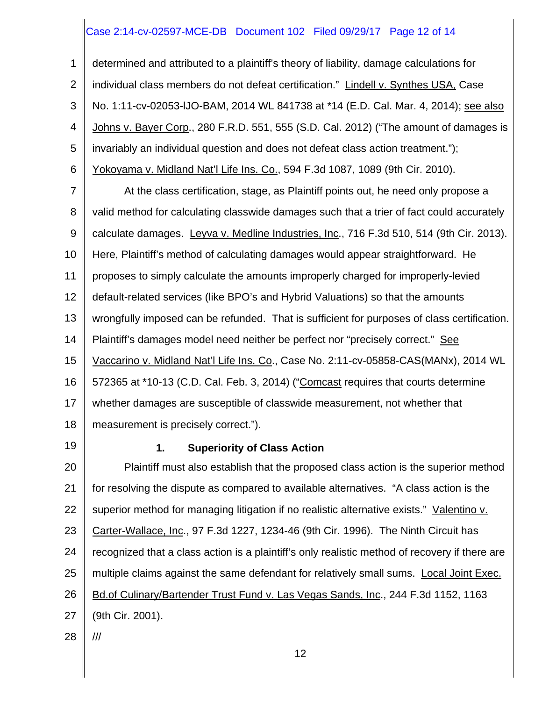# Case 2:14-cv-02597-MCE-DB Document 102 Filed 09/29/17 Page 12 of 14

1 2 3 4 5 6 determined and attributed to a plaintiff's theory of liability, damage calculations for individual class members do not defeat certification." Lindell v. Synthes USA, Case No. 1:11-cv-02053-lJO-BAM, 2014 WL 841738 at \*14 (E.D. Cal. Mar. 4, 2014); see also Johns v. Bayer Corp., 280 F.R.D. 551, 555 (S.D. Cal. 2012) ("The amount of damages is invariably an individual question and does not defeat class action treatment."); Yokoyama v. Midland Nat'l Life Ins. Co., 594 F.3d 1087, 1089 (9th Cir. 2010).

7 8 9 10 11 12 13 14 15 16 17 18 At the class certification, stage, as Plaintiff points out, he need only propose a valid method for calculating classwide damages such that a trier of fact could accurately calculate damages. Leyva v. Medline Industries, Inc., 716 F.3d 510, 514 (9th Cir. 2013). Here, Plaintiff's method of calculating damages would appear straightforward. He proposes to simply calculate the amounts improperly charged for improperly-levied default-related services (like BPO's and Hybrid Valuations) so that the amounts wrongfully imposed can be refunded. That is sufficient for purposes of class certification. Plaintiff's damages model need neither be perfect nor "precisely correct." See Vaccarino v. Midland Nat'l Life Ins. Co., Case No. 2:11-cv-05858-CAS(MANx), 2014 WL 572365 at \*10-13 (C.D. Cal. Feb. 3, 2014) ("Comcast requires that courts determine whether damages are susceptible of classwide measurement, not whether that measurement is precisely correct.").

19

# **1. Superiority of Class Action**

20 21 22 23 24 25 26 27 Plaintiff must also establish that the proposed class action is the superior method for resolving the dispute as compared to available alternatives. "A class action is the superior method for managing litigation if no realistic alternative exists." Valentino v. Carter-Wallace, Inc., 97 F.3d 1227, 1234-46 (9th Cir. 1996). The Ninth Circuit has recognized that a class action is a plaintiff's only realistic method of recovery if there are multiple claims against the same defendant for relatively small sums. Local Joint Exec. Bd.of Culinary/Bartender Trust Fund v. Las Vegas Sands, Inc., 244 F.3d 1152, 1163 (9th Cir. 2001).

28

///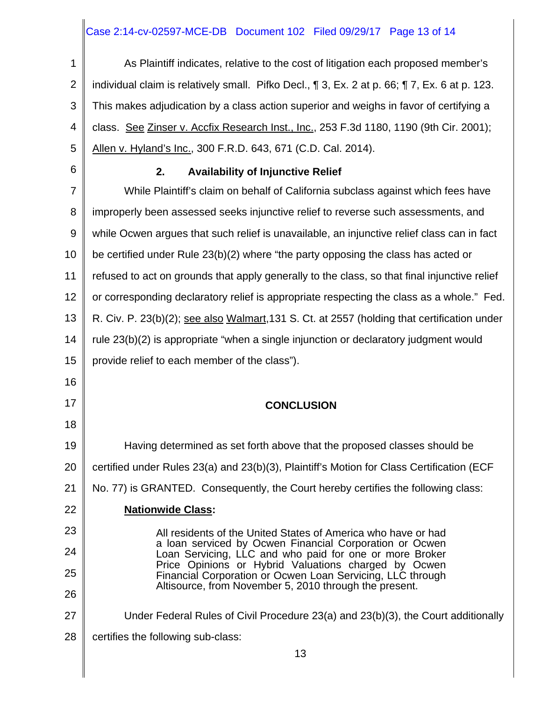# Case 2:14-cv-02597-MCE-DB Document 102 Filed 09/29/17 Page 13 of 14

| 1              | As Plaintiff indicates, relative to the cost of litigation each proposed member's                                  |
|----------------|--------------------------------------------------------------------------------------------------------------------|
| $\overline{2}$ | individual claim is relatively small. Pifko Decl., 1 3, Ex. 2 at p. 66; 1 7, Ex. 6 at p. 123.                      |
| 3              | This makes adjudication by a class action superior and weighs in favor of certifying a                             |
| 4              | class. See Zinser v. Accfix Research Inst., Inc., 253 F.3d 1180, 1190 (9th Cir. 2001);                             |
| 5              | Allen v. Hyland's Inc., 300 F.R.D. 643, 671 (C.D. Cal. 2014).                                                      |
| 6              | <b>Availability of Injunctive Relief</b><br>2.                                                                     |
| $\overline{7}$ | While Plaintiff's claim on behalf of California subclass against which fees have                                   |
| 8              | improperly been assessed seeks injunctive relief to reverse such assessments, and                                  |
| 9              | while Ocwen argues that such relief is unavailable, an injunctive relief class can in fact                         |
| 10             | be certified under Rule 23(b)(2) where "the party opposing the class has acted or                                  |
| 11             | refused to act on grounds that apply generally to the class, so that final injunctive relief                       |
| 12             | or corresponding declaratory relief is appropriate respecting the class as a whole." Fed.                          |
| 13             | R. Civ. P. 23(b)(2); see also Walmart, 131 S. Ct. at 2557 (holding that certification under                        |
| 14             | rule 23(b)(2) is appropriate "when a single injunction or declaratory judgment would                               |
| 15             | provide relief to each member of the class").                                                                      |
| 16             |                                                                                                                    |
| 17             | <b>CONCLUSION</b>                                                                                                  |
| 18             |                                                                                                                    |
| 19             | Having determined as set forth above that the proposed classes should be                                           |
| 20             | certified under Rules 23(a) and 23(b)(3), Plaintiff's Motion for Class Certification (ECF                          |
| 21             | No. 77) is GRANTED. Consequently, the Court hereby certifies the following class:                                  |
| 22             | <b>Nationwide Class:</b>                                                                                           |
| 23             | All residents of the United States of America who have or had                                                      |
| 24             | a loan serviced by Ocwen Financial Corporation or Ocwen<br>Loan Servicing, LLC and who paid for one or more Broker |
| 25             | Price Opinions or Hybrid Valuations charged by Ocwen<br>Financial Corporation or Ocwen Loan Servicing, LLC through |
| 26             | Altisource, from November 5, 2010 through the present.                                                             |
| 27             | Under Federal Rules of Civil Procedure 23(a) and 23(b)(3), the Court additionally                                  |
| 28             | certifies the following sub-class:                                                                                 |
|                | 13                                                                                                                 |